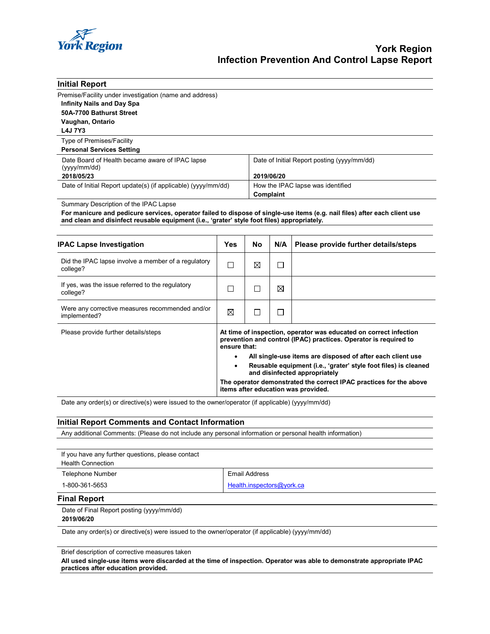

| <b>Initial Report</b>                                          |                                             |
|----------------------------------------------------------------|---------------------------------------------|
| Premise/Facility under investigation (name and address)        |                                             |
| <b>Infinity Nails and Day Spa</b>                              |                                             |
| 50A-7700 Bathurst Street                                       |                                             |
| Vaughan, Ontario                                               |                                             |
| <b>L4J 7Y3</b>                                                 |                                             |
| Type of Premises/Facility                                      |                                             |
| <b>Personal Services Setting</b>                               |                                             |
| Date Board of Health became aware of IPAC lapse<br>(yyy/mm/dd) | Date of Initial Report posting (yyyy/mm/dd) |
| 2018/05/23                                                     | 2019/06/20                                  |
| Date of Initial Report update(s) (if applicable) (yyyy/mm/dd)  | How the IPAC lapse was identified           |
|                                                                | Complaint                                   |

Summary Description of the IPAC Lapse

**For manicure and pedicure services, operator failed to dispose of single-use items (e.g. nail files) after each client use and clean and disinfect reusable equipment (i.e., 'grater' style foot files) appropriately.** 

| <b>IPAC Lapse Investigation</b>                                 | Yes                                                                                                                                                                                                                                                                                                                                                                                                                                                    | No. | N/A | Please provide further details/steps |
|-----------------------------------------------------------------|--------------------------------------------------------------------------------------------------------------------------------------------------------------------------------------------------------------------------------------------------------------------------------------------------------------------------------------------------------------------------------------------------------------------------------------------------------|-----|-----|--------------------------------------|
| Did the IPAC lapse involve a member of a regulatory<br>college? | П                                                                                                                                                                                                                                                                                                                                                                                                                                                      | ⊠   | J.  |                                      |
| If yes, was the issue referred to the regulatory<br>college?    | П                                                                                                                                                                                                                                                                                                                                                                                                                                                      |     | ⊠   |                                      |
| Were any corrective measures recommended and/or<br>implemented? | ⊠                                                                                                                                                                                                                                                                                                                                                                                                                                                      |     | ٦   |                                      |
| Please provide further details/steps                            | At time of inspection, operator was educated on correct infection<br>prevention and control (IPAC) practices. Operator is required to<br>ensure that:<br>All single-use items are disposed of after each client use<br>٠<br>Reusable equipment (i.e., 'grater' style foot files) is cleaned<br>$\bullet$<br>and disinfected appropriately<br>The operator demonstrated the correct IPAC practices for the above<br>items after education was provided. |     |     |                                      |

Date any order(s) or directive(s) were issued to the owner/operator (if applicable) (yyyy/mm/dd)

## **Initial Report Comments and Contact Information**

Any additional Comments: (Please do not include any personal information or personal health information)

If you have any further questions, please contact Health Connection **Final Report** Telephone Number **Email Address** 1-800-361-5653 [Health.inspectors@york.ca](mailto:Health.inspectors@york.ca)

Date of Final Report posting (yyyy/mm/dd) **2019/06/20**

Date any order(s) or directive(s) were issued to the owner/operator (if applicable) (yyyy/mm/dd)

Brief description of corrective measures taken

**All used single-use items were discarded at the time of inspection. Operator was able to demonstrate appropriate IPAC practices after education provided.**